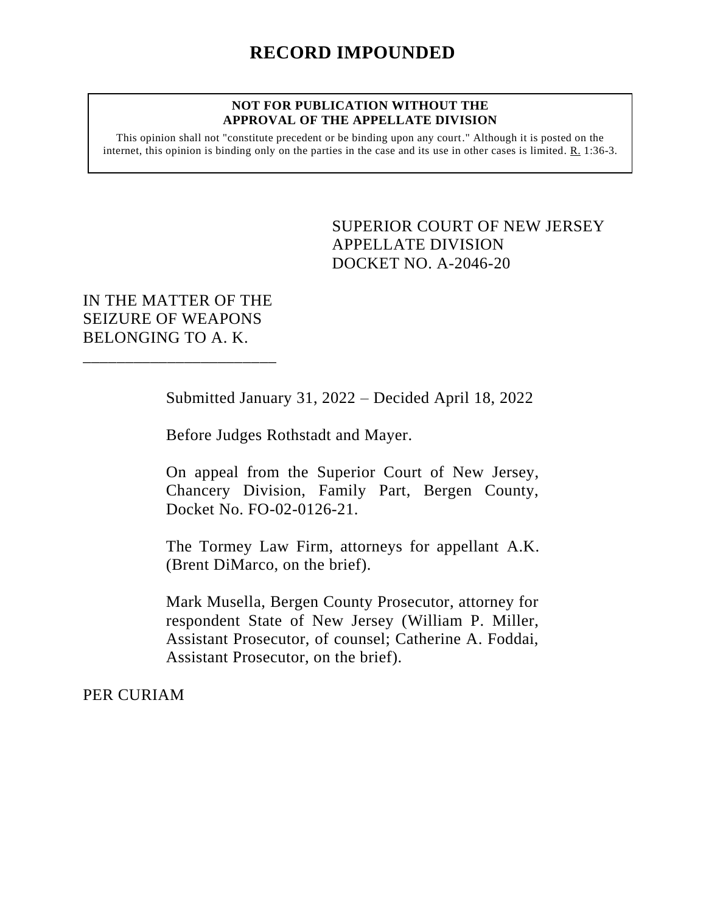## **NOT FOR PUBLICATION WITHOUT THE APPROVAL OF THE APPELLATE DIVISION**

This opinion shall not "constitute precedent or be binding upon any court." Although it is posted on the internet, this opinion is binding only on the parties in the case and its use in other cases is limited.  $R_1$  1:36-3.

## <span id="page-0-0"></span>SUPERIOR COURT OF NEW JERSEY APPELLATE DIVISION DOCKET NO. A-2046-20

## IN THE MATTER OF THE SEIZURE OF WEAPONS BELONGING TO A. K.

\_\_\_\_\_\_\_\_\_\_\_\_\_\_\_\_\_\_\_\_\_\_\_

Submitted January 31, 2022 – Decided April 18, 2022

Before Judges Rothstadt and Mayer.

On appeal from the Superior Court of New Jersey, Chancery Division, Family Part, Bergen County, Docket No. FO-02-0126-21.

The Tormey Law Firm, attorneys for appellant A.K. (Brent DiMarco, on the brief).

Mark Musella, Bergen County Prosecutor, attorney for respondent State of New Jersey (William P. Miller, Assistant Prosecutor, of counsel; Catherine A. Foddai, Assistant Prosecutor, on the brief).

PER CURIAM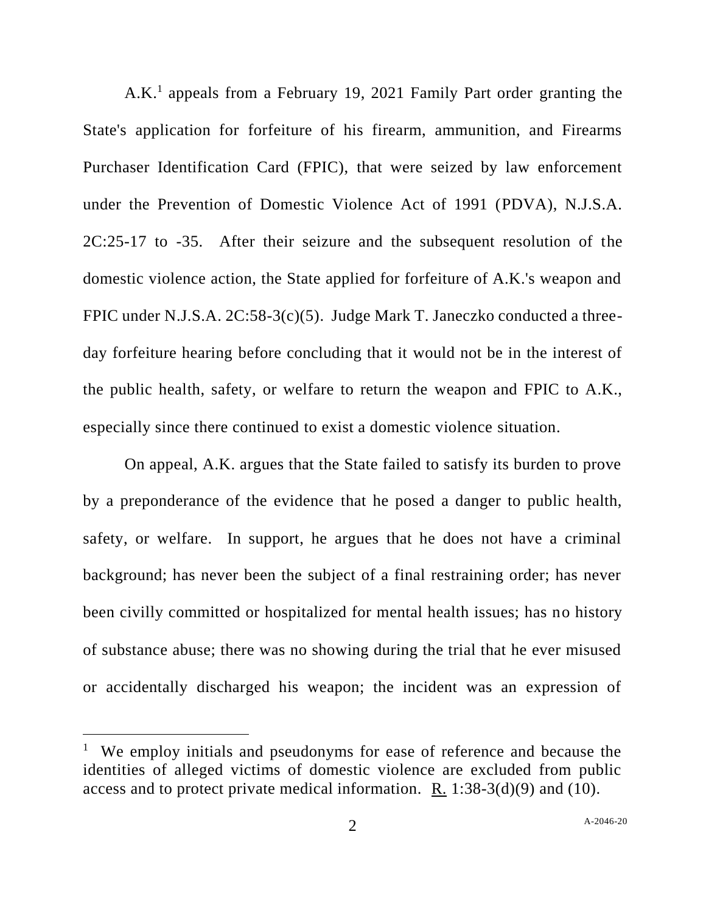A.K.<sup>1</sup> appeals from a February 19, 2021 Family Part order granting the State's application for forfeiture of his firearm, ammunition, and Firearms Purchaser Identification Card (FPIC), that were seized by law enforcement under the Prevention of Domestic Violence Act of 1991 (PDVA), N.J.S.A. 2C:25-17 to -35. After their seizure and the subsequent resolution of the domestic violence action, the State applied for forfeiture of A.K.'s weapon and FPIC under N.J.S.A. 2C:58-3(c)(5). Judge Mark T. Janeczko conducted a threeday forfeiture hearing before concluding that it would not be in the interest of the public health, safety, or welfare to return the weapon and FPIC to A.K., especially since there continued to exist a domestic violence situation.

On appeal, A.K. argues that the State failed to satisfy its burden to prove by a preponderance of the evidence that he posed a danger to public health, safety, or welfare. In support, he argues that he does not have a criminal background; has never been the subject of a final restraining order; has never been civilly committed or hospitalized for mental health issues; has no history of substance abuse; there was no showing during the trial that he ever misused or accidentally discharged his weapon; the incident was an expression of

<sup>&</sup>lt;sup>1</sup> We employ initials and pseudonyms for ease of reference and because the identities of alleged victims of domestic violence are excluded from public access and to protect private medical information. R. 1:38-3(d)(9) and (10).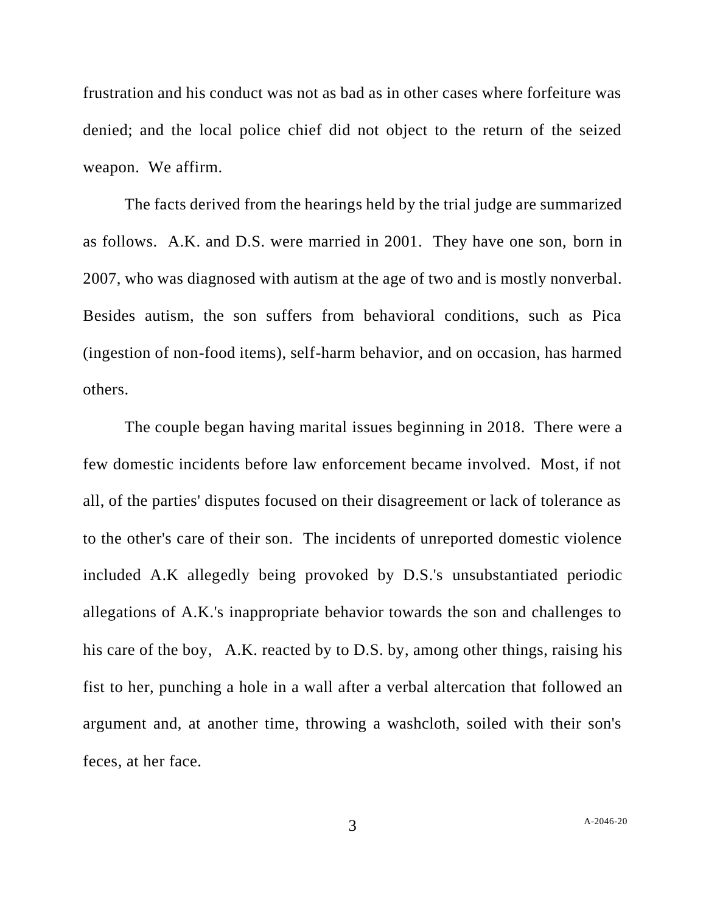frustration and his conduct was not as bad as in other cases where forfeiture was denied; and the local police chief did not object to the return of the seized weapon. We affirm.

The facts derived from the hearings held by the trial judge are summarized as follows. A.K. and D.S. were married in 2001. They have one son, born in 2007, who was diagnosed with autism at the age of two and is mostly nonverbal. Besides autism, the son suffers from behavioral conditions, such as Pica (ingestion of non-food items), self-harm behavior, and on occasion, has harmed others.

The couple began having marital issues beginning in 2018. There were a few domestic incidents before law enforcement became involved. Most, if not all, of the parties' disputes focused on their disagreement or lack of tolerance as to the other's care of their son. The incidents of unreported domestic violence included A.K allegedly being provoked by D.S.'s unsubstantiated periodic allegations of A.K.'s inappropriate behavior towards the son and challenges to his care of the boy, A.K. reacted by to D.S. by, among other things, raising his fist to her, punching a hole in a wall after a verbal altercation that followed an argument and, at another time, throwing a washcloth, soiled with their son's feces, at her face.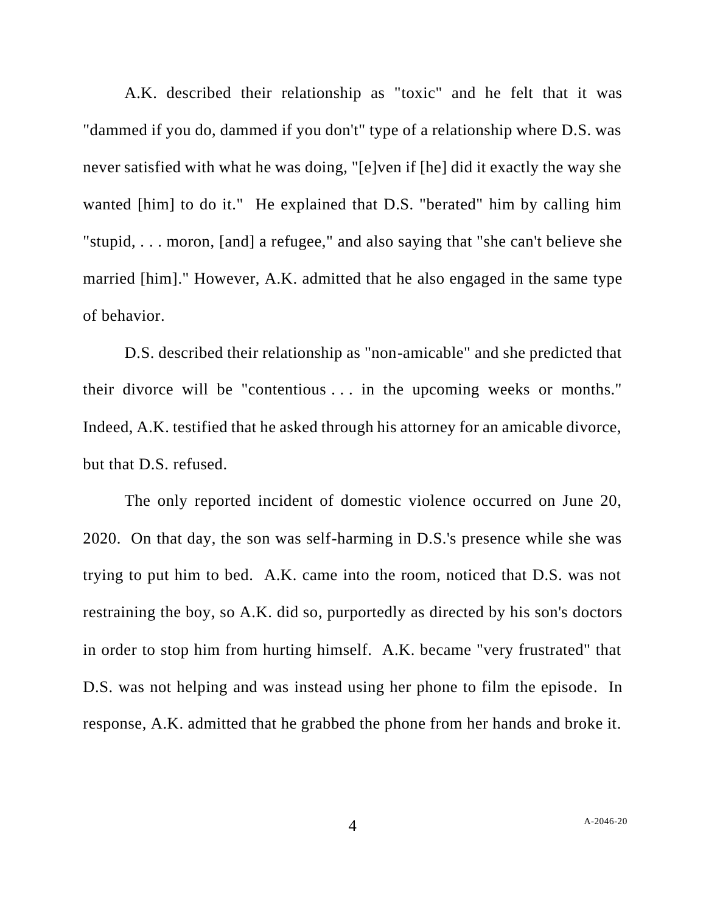A.K. described their relationship as "toxic" and he felt that it was "dammed if you do, dammed if you don't" type of a relationship where D.S. was never satisfied with what he was doing, "[e]ven if [he] did it exactly the way she wanted [him] to do it." He explained that D.S. "berated" him by calling him "stupid, . . . moron, [and] a refugee," and also saying that "she can't believe she married [him]." However, A.K. admitted that he also engaged in the same type of behavior.

D.S. described their relationship as "non-amicable" and she predicted that their divorce will be "contentious . . . in the upcoming weeks or months." Indeed, A.K. testified that he asked through his attorney for an amicable divorce, but that D.S. refused.

The only reported incident of domestic violence occurred on June 20, 2020. On that day, the son was self-harming in D.S.'s presence while she was trying to put him to bed. A.K. came into the room, noticed that D.S. was not restraining the boy, so A.K. did so, purportedly as directed by his son's doctors in order to stop him from hurting himself. A.K. became "very frustrated" that D.S. was not helping and was instead using her phone to film the episode. In response, A.K. admitted that he grabbed the phone from her hands and broke it.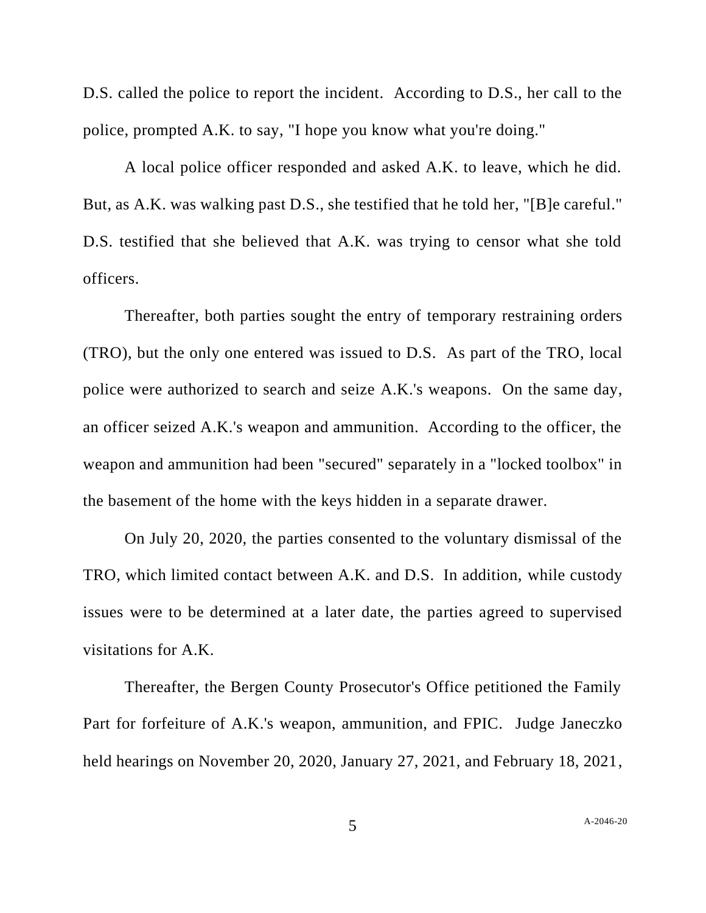D.S. called the police to report the incident. According to D.S., her call to the police, prompted A.K. to say, "I hope you know what you're doing."

A local police officer responded and asked A.K. to leave, which he did. But, as A.K. was walking past D.S., she testified that he told her, "[B]e careful." D.S. testified that she believed that A.K. was trying to censor what she told officers.

Thereafter, both parties sought the entry of temporary restraining orders (TRO), but the only one entered was issued to D.S. As part of the TRO, local police were authorized to search and seize A.K.'s weapons. On the same day, an officer seized A.K.'s weapon and ammunition. According to the officer, the weapon and ammunition had been "secured" separately in a "locked toolbox" in the basement of the home with the keys hidden in a separate drawer.

On July 20, 2020, the parties consented to the voluntary dismissal of the TRO, which limited contact between A.K. and D.S. In addition, while custody issues were to be determined at a later date, the parties agreed to supervised visitations for A.K.

Thereafter, the Bergen County Prosecutor's Office petitioned the Family Part for forfeiture of A.K.'s weapon, ammunition, and FPIC. Judge Janeczko held hearings on November 20, 2020, January 27, 2021, and February 18, 2021,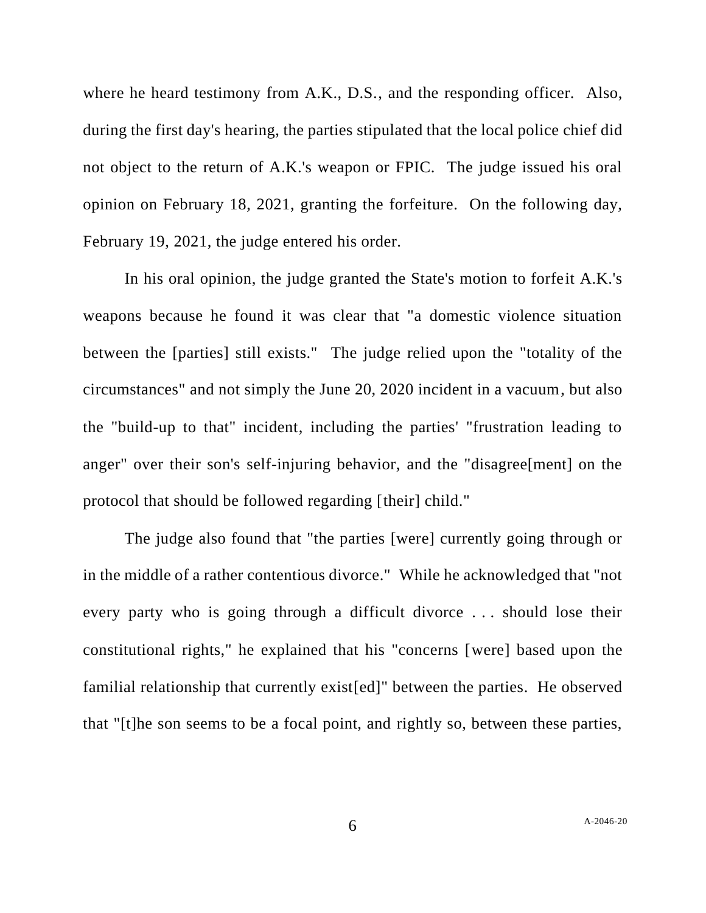where he heard testimony from A.K., D.S., and the responding officer. Also, during the first day's hearing, the parties stipulated that the local police chief did not object to the return of A.K.'s weapon or FPIC. The judge issued his oral opinion on February 18, 2021, granting the forfeiture. On the following day, February 19, 2021, the judge entered his order.

In his oral opinion, the judge granted the State's motion to forfeit A.K.'s weapons because he found it was clear that "a domestic violence situation between the [parties] still exists." The judge relied upon the "totality of the circumstances" and not simply the June 20, 2020 incident in a vacuum, but also the "build-up to that" incident, including the parties' "frustration leading to anger" over their son's self-injuring behavior, and the "disagree[ment] on the protocol that should be followed regarding [their] child."

The judge also found that "the parties [were] currently going through or in the middle of a rather contentious divorce." While he acknowledged that "not every party who is going through a difficult divorce . . . should lose their constitutional rights," he explained that his "concerns [were] based upon the familial relationship that currently exist[ed]" between the parties. He observed that "[t]he son seems to be a focal point, and rightly so, between these parties,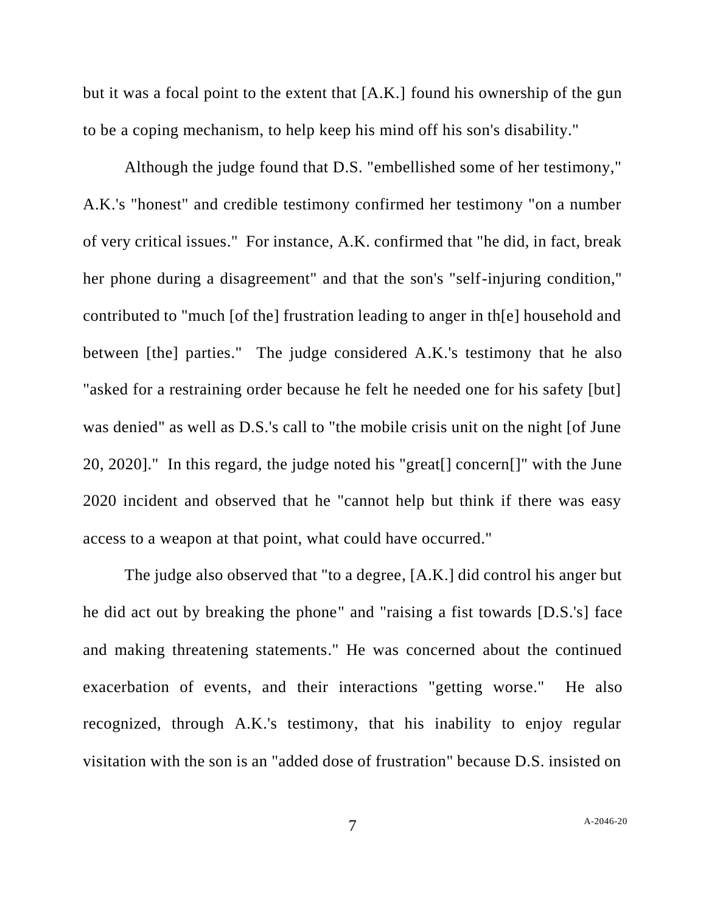but it was a focal point to the extent that [A.K.] found his ownership of the gun to be a coping mechanism, to help keep his mind off his son's disability."

Although the judge found that D.S. "embellished some of her testimony," A.K.'s "honest" and credible testimony confirmed her testimony "on a number of very critical issues." For instance, A.K. confirmed that "he did, in fact, break her phone during a disagreement" and that the son's "self-injuring condition," contributed to "much [of the] frustration leading to anger in th[e] household and between [the] parties." The judge considered A.K.'s testimony that he also "asked for a restraining order because he felt he needed one for his safety [but] was denied" as well as D.S.'s call to "the mobile crisis unit on the night [of June 20, 2020]." In this regard, the judge noted his "great[] concern[]" with the June 2020 incident and observed that he "cannot help but think if there was easy access to a weapon at that point, what could have occurred."

The judge also observed that "to a degree, [A.K.] did control his anger but he did act out by breaking the phone" and "raising a fist towards [D.S.'s] face and making threatening statements." He was concerned about the continued exacerbation of events, and their interactions "getting worse." He also recognized, through A.K.'s testimony, that his inability to enjoy regular visitation with the son is an "added dose of frustration" because D.S. insisted on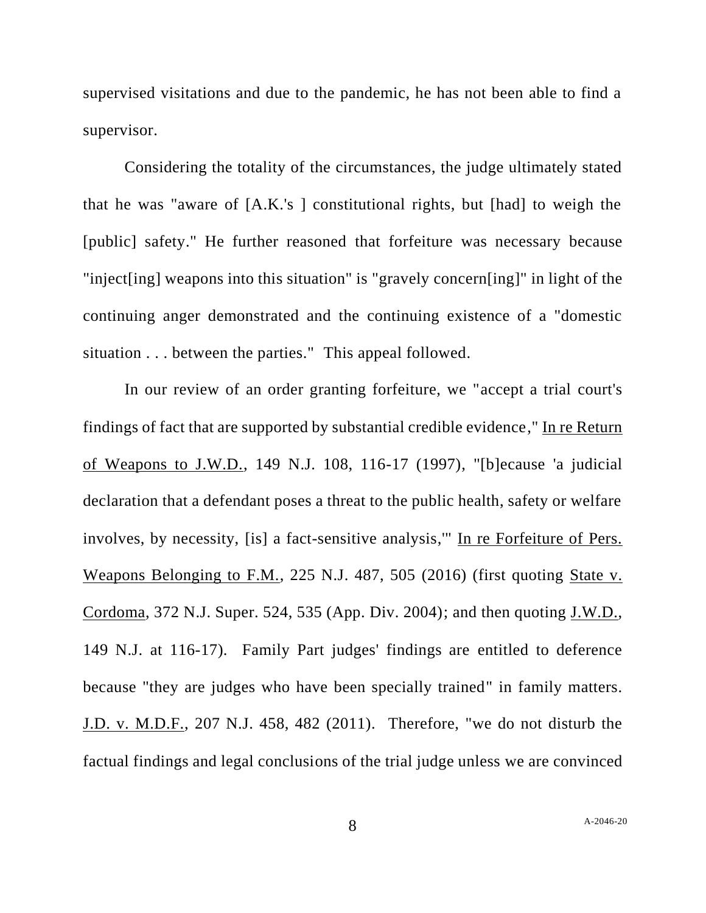supervised visitations and due to the pandemic, he has not been able to find a supervisor.

Considering the totality of the circumstances, the judge ultimately stated that he was "aware of [A.K.'s ] constitutional rights, but [had] to weigh the [public] safety." He further reasoned that forfeiture was necessary because "inject[ing] weapons into this situation" is "gravely concern[ing]" in light of the continuing anger demonstrated and the continuing existence of a "domestic situation . . . between the parties." This appeal followed.

In our review of an order granting forfeiture, we "accept a trial court's findings of fact that are supported by substantial credible evidence," In re Return of Weapons to J.W.D., 149 N.J. 108, 116-17 (1997), "[b]ecause 'a judicial declaration that a defendant poses a threat to the public health, safety or welfare involves, by necessity, [is] a fact-sensitive analysis,'" In re Forfeiture of Pers. Weapons Belonging to F.M., 225 N.J. 487, 505 (2016) (first quoting State v. Cordoma, 372 N.J. Super. 524, 535 (App. Div. 2004); and then quoting J.W.D., 149 N.J. at 116-17). Family Part judges' findings are entitled to deference because "they are judges who have been specially trained" in family matters. J.D. v. M.D.F., 207 N.J. 458, 482 (2011). Therefore, "we do not disturb the factual findings and legal conclusions of the trial judge unless we are convinced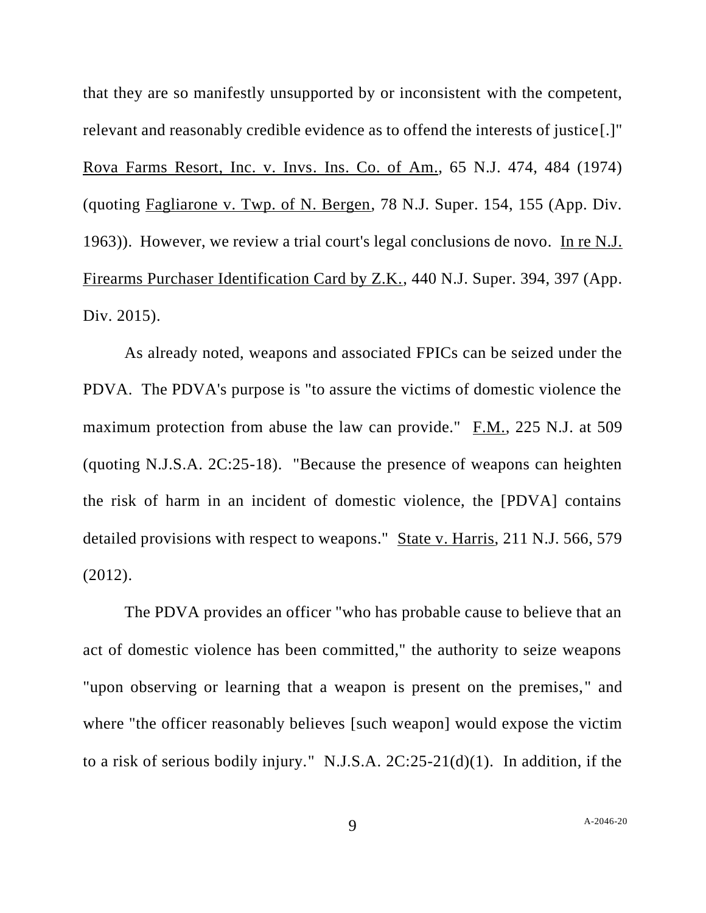that they are so manifestly unsupported by or inconsistent with the competent, relevant and reasonably credible evidence as to offend the interests of justice[.]" Rova Farms Resort, Inc. v. Invs. Ins. Co. of Am., 65 N.J. 474, 484 (1974) (quoting Fagliarone v. Twp. of N. Bergen, 78 N.J. Super. 154, 155 (App. Div. 1963)). However, we review a trial court's legal conclusions de novo. In re N.J. Firearms Purchaser Identification Card by Z.K., 440 N.J. Super. 394, 397 (App. Div. 2015).

As already noted, weapons and associated FPICs can be seized under the PDVA. The PDVA's purpose is "to assure the victims of domestic violence the maximum protection from abuse the law can provide." F.M., 225 N.J. at 509 (quoting N.J.S.A. 2C:25-18). "Because the presence of weapons can heighten the risk of harm in an incident of domestic violence, the [PDVA] contains detailed provisions with respect to weapons." State v. Harris, 211 N.J. 566, 579 (2012).

The PDVA provides an officer "who has probable cause to believe that an act of domestic violence has been committed," the authority to seize weapons "upon observing or learning that a weapon is present on the premises," and where "the officer reasonably believes [such weapon] would expose the victim to a risk of serious bodily injury." N.J.S.A. 2C:25-21(d)(1). In addition, if the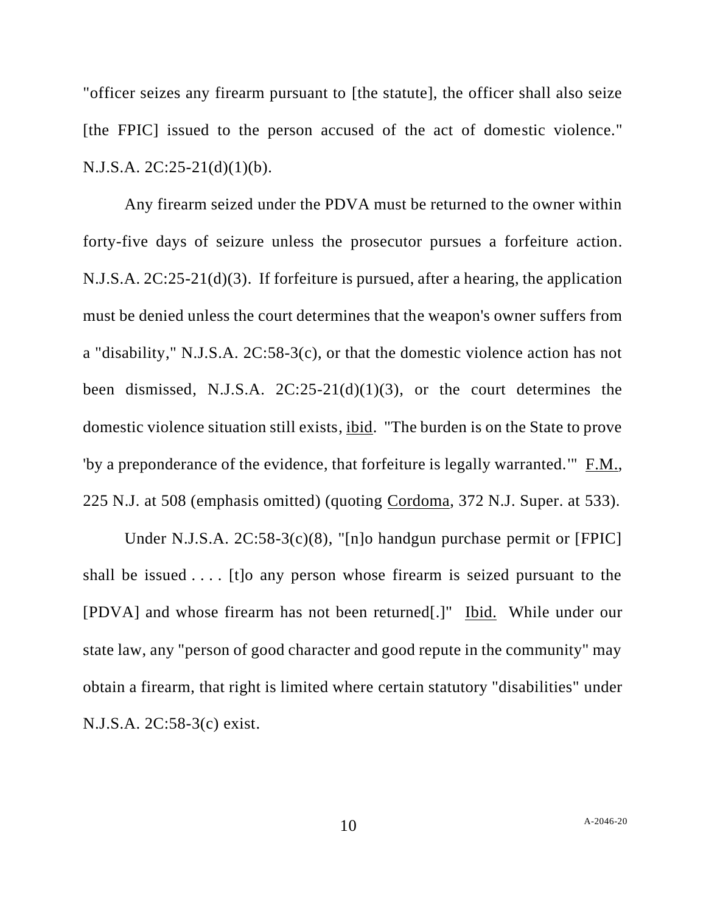"officer seizes any firearm pursuant to [the statute], the officer shall also seize [the FPIC] issued to the person accused of the act of domestic violence." N.J.S.A. 2C:25-21(d)(1)(b).

Any firearm seized under the PDVA must be returned to the owner within forty-five days of seizure unless the prosecutor pursues a forfeiture action. N.J.S.A. 2C:25-21(d)(3). If forfeiture is pursued, after a hearing, the application must be denied unless the court determines that the weapon's owner suffers from a "disability," N.J.S.A. 2C:58-3(c), or that the domestic violence action has not been dismissed, N.J.S.A. 2C:25-21(d)(1)(3), or the court determines the domestic violence situation still exists, ibid. "The burden is on the State to prove 'by a preponderance of the evidence, that forfeiture is legally warranted.'" F.M., 225 N.J. at 508 (emphasis omitted) (quoting Cordoma, 372 N.J. Super. at 533).

Under N.J.S.A. 2C:58-3(c)(8), "[n]o handgun purchase permit or [FPIC] shall be issued . . . . [t]o any person whose firearm is seized pursuant to the [PDVA] and whose firearm has not been returned[.]" Ibid. While under our state law, any "person of good character and good repute in the community" may obtain a firearm, that right is limited where certain statutory "disabilities" under N.J.S.A. 2C:58-3(c) exist.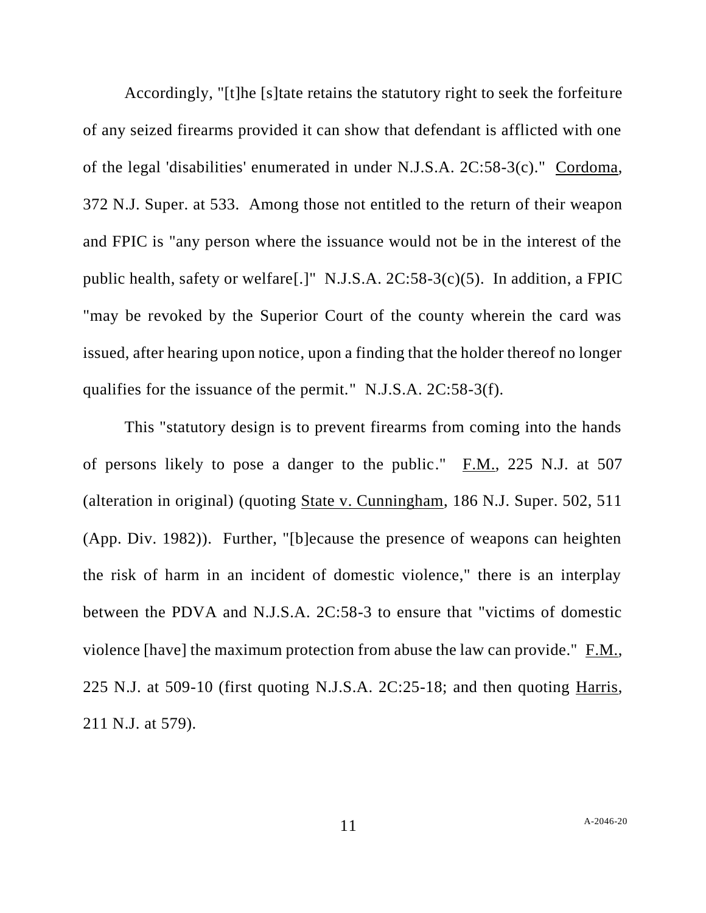Accordingly, "[t]he [s]tate retains the statutory right to seek the forfeiture of any seized firearms provided it can show that defendant is afflicted with one of the legal 'disabilities' enumerated in under N.J.S.A. 2C:58-3(c)." Cordoma, 372 N.J. Super. at 533. Among those not entitled to the return of their weapon and FPIC is "any person where the issuance would not be in the interest of the public health, safety or welfare[.]" N.J.S.A. 2C:58-3(c)(5). In addition, a FPIC "may be revoked by the Superior Court of the county wherein the card was issued, after hearing upon notice, upon a finding that the holder thereof no longer qualifies for the issuance of the permit." N.J.S.A. 2C:58-3(f).

This "statutory design is to prevent firearms from coming into the hands of persons likely to pose a danger to the public." F.M., 225 N.J. at 507 (alteration in original) (quoting State v. Cunningham, 186 N.J. Super. 502, 511 (App. Div. 1982)). Further, "[b]ecause the presence of weapons can heighten the risk of harm in an incident of domestic violence," there is an interplay between the PDVA and N.J.S.A. 2C:58-3 to ensure that "victims of domestic violence [have] the maximum protection from abuse the law can provide." F.M., 225 N.J. at 509-10 (first quoting N.J.S.A. 2C:25-18; and then quoting Harris, 211 N.J. at 579).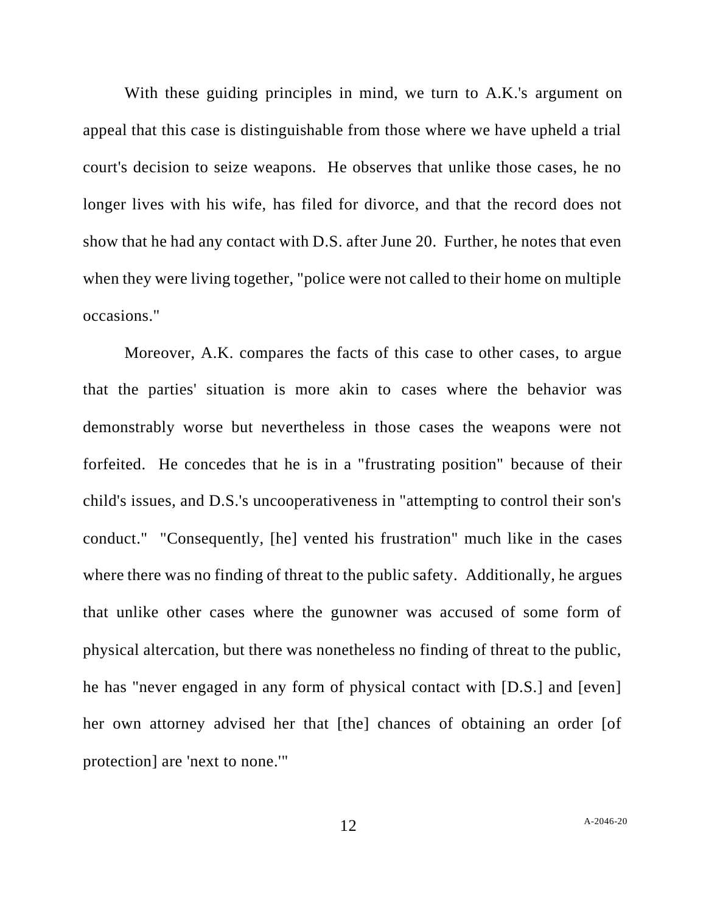With these guiding principles in mind, we turn to A.K.'s argument on appeal that this case is distinguishable from those where we have upheld a trial court's decision to seize weapons. He observes that unlike those cases, he no longer lives with his wife, has filed for divorce, and that the record does not show that he had any contact with D.S. after June 20. Further, he notes that even when they were living together, "police were not called to their home on multiple occasions."

Moreover, A.K. compares the facts of this case to other cases, to argue that the parties' situation is more akin to cases where the behavior was demonstrably worse but nevertheless in those cases the weapons were not forfeited. He concedes that he is in a "frustrating position" because of their child's issues, and D.S.'s uncooperativeness in "attempting to control their son's conduct." "Consequently, [he] vented his frustration" much like in the cases where there was no finding of threat to the public safety. Additionally, he argues that unlike other cases where the gunowner was accused of some form of physical altercation, but there was nonetheless no finding of threat to the public, he has "never engaged in any form of physical contact with [D.S.] and [even] her own attorney advised her that [the] chances of obtaining an order [of protection] are 'next to none.'"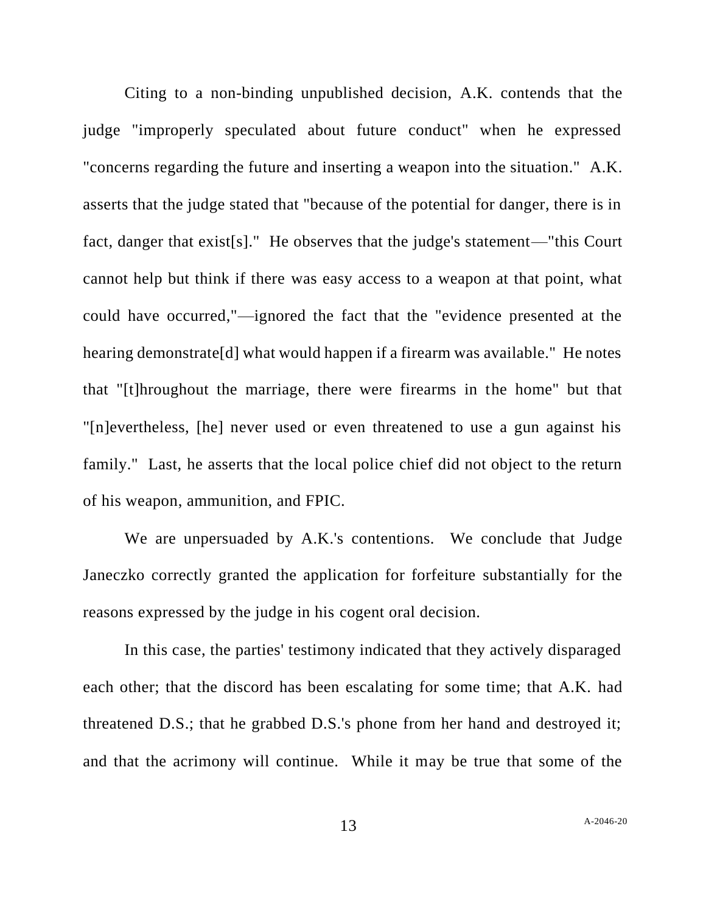Citing to a non-binding unpublished decision, A.K. contends that the judge "improperly speculated about future conduct" when he expressed "concerns regarding the future and inserting a weapon into the situation." A.K. asserts that the judge stated that "because of the potential for danger, there is in fact, danger that exist[s]." He observes that the judge's statement—"this Court cannot help but think if there was easy access to a weapon at that point, what could have occurred,"—ignored the fact that the "evidence presented at the hearing demonstrate[d] what would happen if a firearm was available." He notes that "[t]hroughout the marriage, there were firearms in the home" but that "[n]evertheless, [he] never used or even threatened to use a gun against his family." Last, he asserts that the local police chief did not object to the return of his weapon, ammunition, and FPIC.

We are unpersuaded by A.K.'s contentions. We conclude that Judge Janeczko correctly granted the application for forfeiture substantially for the reasons expressed by the judge in his cogent oral decision.

In this case, the parties' testimony indicated that they actively disparaged each other; that the discord has been escalating for some time; that A.K. had threatened D.S.; that he grabbed D.S.'s phone from her hand and destroyed it; and that the acrimony will continue. While it may be true that some of the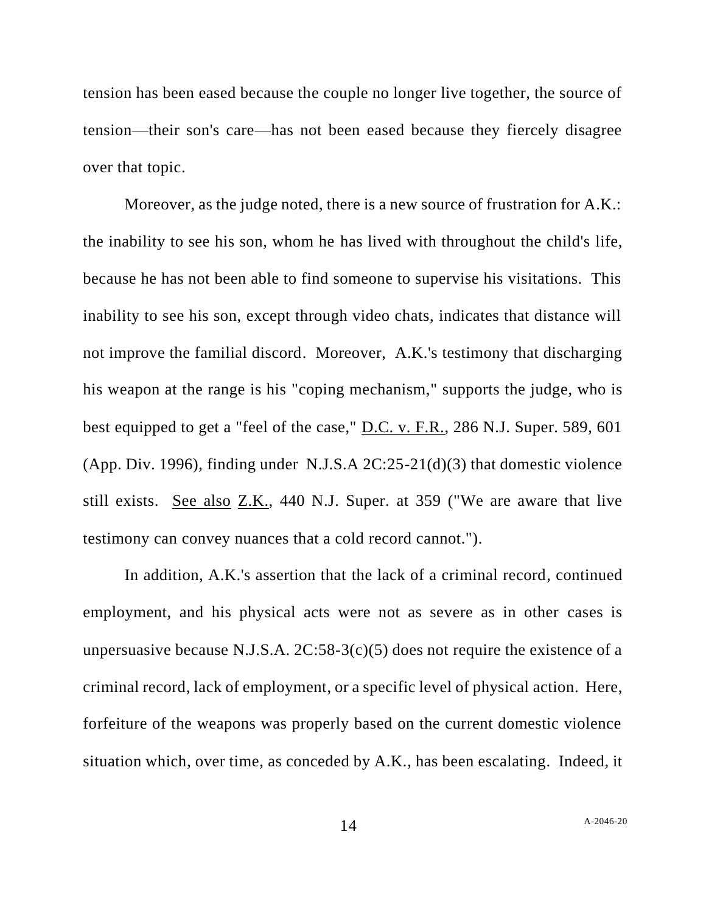tension has been eased because the couple no longer live together, the source of tension—their son's care—has not been eased because they fiercely disagree over that topic.

Moreover, as the judge noted, there is a new source of frustration for A.K.: the inability to see his son, whom he has lived with throughout the child's life, because he has not been able to find someone to supervise his visitations. This inability to see his son, except through video chats, indicates that distance will not improve the familial discord. Moreover, A.K.'s testimony that discharging his weapon at the range is his "coping mechanism," supports the judge, who is best equipped to get a "feel of the case," D.C. v. F.R., 286 N.J. Super. 589, 601 (App. Div. 1996), finding under N.J.S.A 2C:25-21(d)(3) that domestic violence still exists. See also Z.K., 440 N.J. Super. at 359 ("We are aware that live testimony can convey nuances that a cold record cannot.").

In addition, A.K.'s assertion that the lack of a criminal record, continued employment, and his physical acts were not as severe as in other cases is unpersuasive because N.J.S.A.  $2C:58-3(c)(5)$  does not require the existence of a criminal record, lack of employment, or a specific level of physical action. Here, forfeiture of the weapons was properly based on the current domestic violence situation which, over time, as conceded by A.K., has been escalating. Indeed, it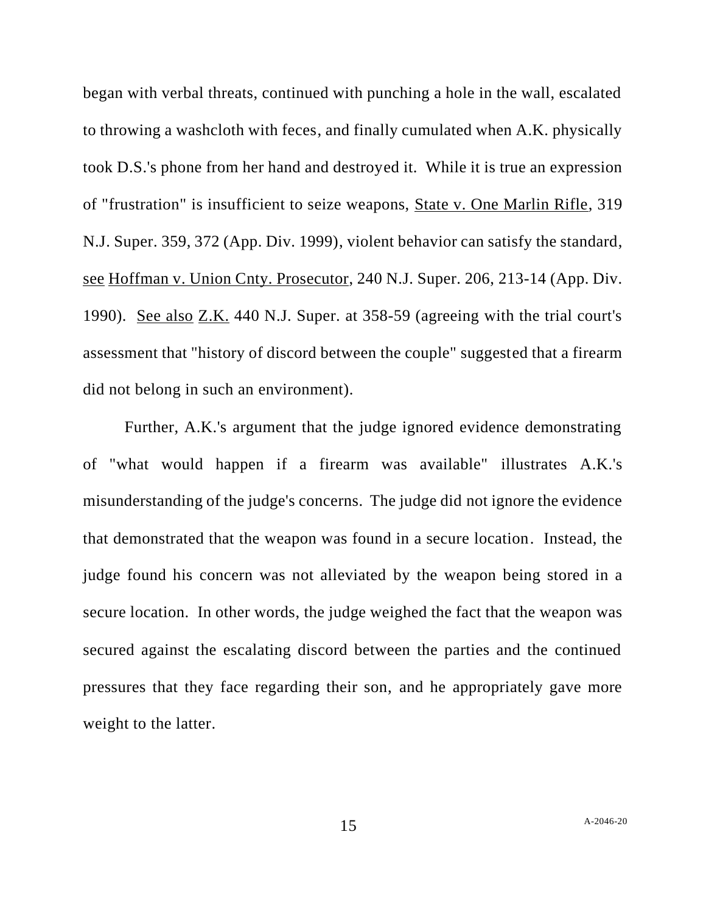began with verbal threats, continued with punching a hole in the wall, escalated to throwing a washcloth with feces, and finally cumulated when A.K. physically took D.S.'s phone from her hand and destroyed it. While it is true an expression of "frustration" is insufficient to seize weapons, State v. One Marlin Rifle, 319 N.J. Super. 359, 372 (App. Div. 1999), violent behavior can satisfy the standard, see Hoffman v. Union Cnty. Prosecutor, 240 N.J. Super. 206, 213-14 (App. Div. 1990). See also Z.K. 440 N.J. Super. at 358-59 (agreeing with the trial court's assessment that "history of discord between the couple" suggested that a firearm did not belong in such an environment).

Further, A.K.'s argument that the judge ignored evidence demonstrating of "what would happen if a firearm was available" illustrates A.K.'s misunderstanding of the judge's concerns. The judge did not ignore the evidence that demonstrated that the weapon was found in a secure location. Instead, the judge found his concern was not alleviated by the weapon being stored in a secure location. In other words, the judge weighed the fact that the weapon was secured against the escalating discord between the parties and the continued pressures that they face regarding their son, and he appropriately gave more weight to the latter.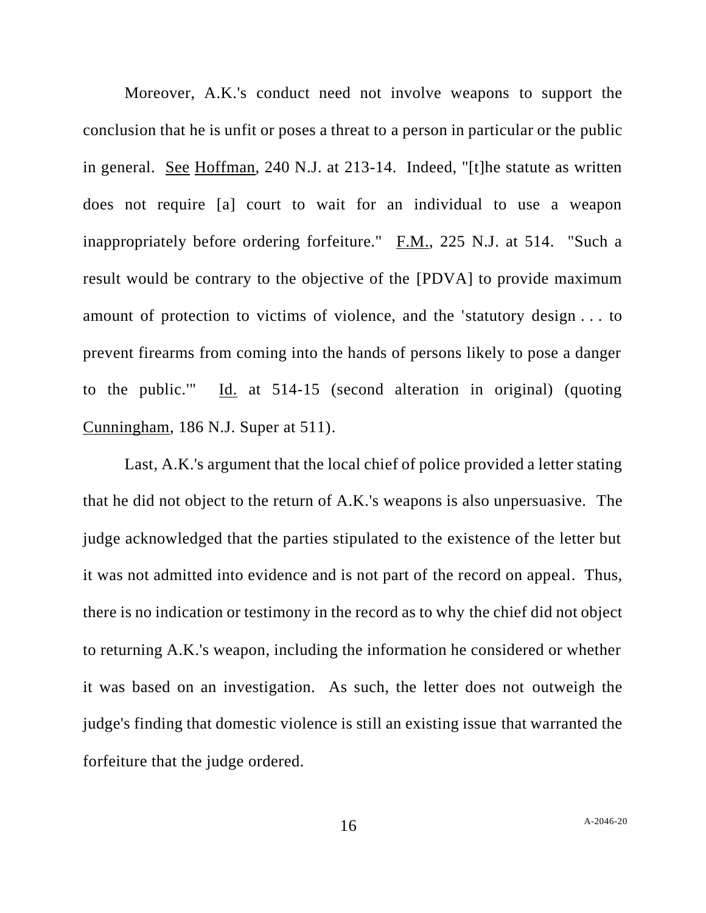Moreover, A.K.'s conduct need not involve weapons to support the conclusion that he is unfit or poses a threat to a person in particular or the public in general. See Hoffman, 240 N.J. at 213-14. Indeed, "[t]he statute as written does not require [a] court to wait for an individual to use a weapon inappropriately before ordering forfeiture."  $F.M., 225 N.J.$  at 514. "Such a result would be contrary to the objective of the [PDVA] to provide maximum amount of protection to victims of violence, and the 'statutory design . . . to prevent firearms from coming into the hands of persons likely to pose a danger to the public.'" Id. at 514-15 (second alteration in original) (quoting Cunningham, 186 N.J. Super at 511).

Last, A.K.'s argument that the local chief of police provided a letter stating that he did not object to the return of A.K.'s weapons is also unpersuasive. The judge acknowledged that the parties stipulated to the existence of the letter but it was not admitted into evidence and is not part of the record on appeal. Thus, there is no indication or testimony in the record as to why the chief did not object to returning A.K.'s weapon, including the information he considered or whether it was based on an investigation. As such, the letter does not outweigh the judge's finding that domestic violence is still an existing issue that warranted the forfeiture that the judge ordered.